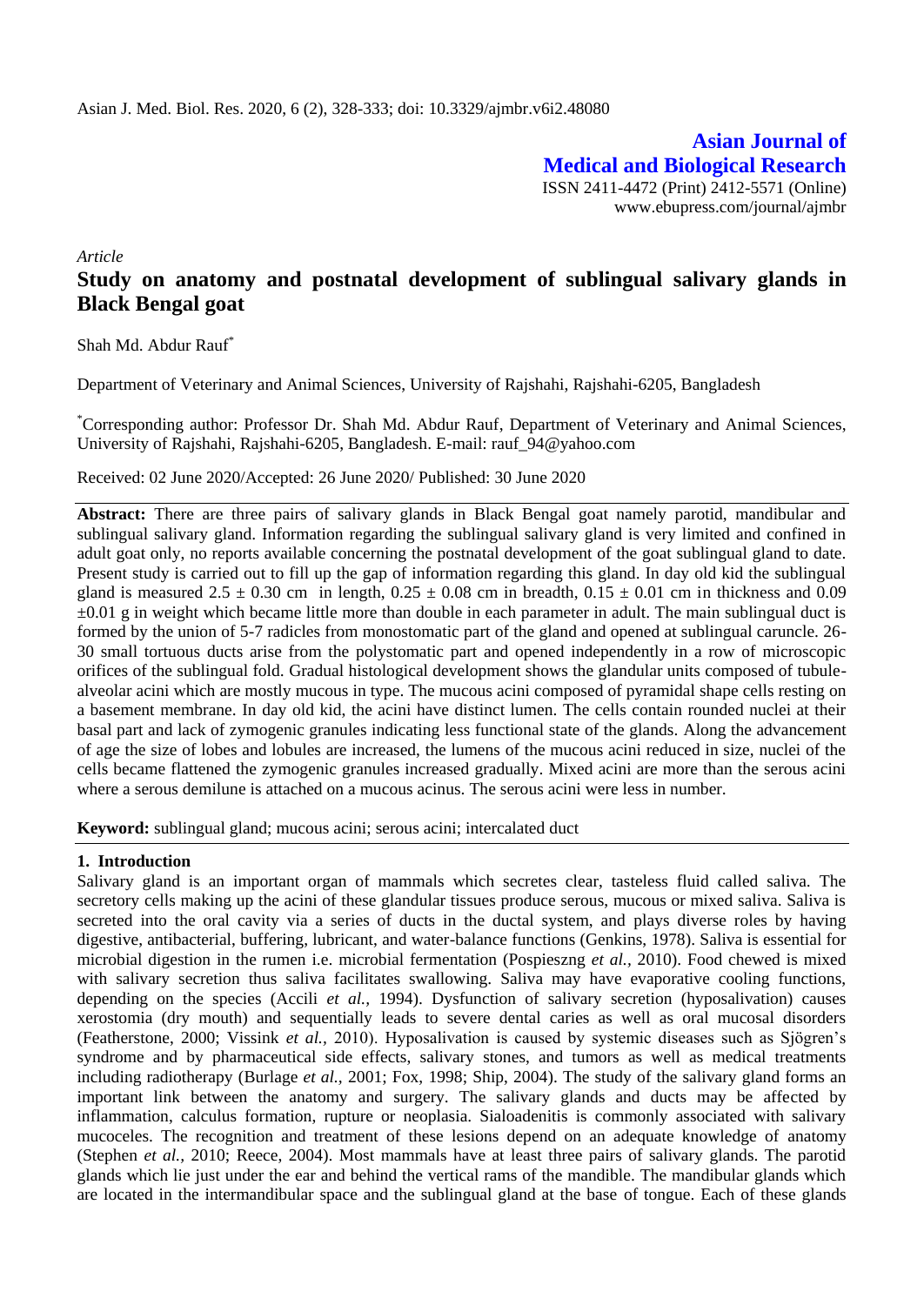**Asian Journal of Medical and Biological Research** ISSN 2411-4472 (Print) 2412-5571 (Online) www.ebupress.com/journal/ajmbr

*Article*

# **Study on anatomy and postnatal development of sublingual salivary glands in Black Bengal goat**

Shah Md. Abdur Rauf\*

Department of Veterinary and Animal Sciences, University of Rajshahi, Rajshahi-6205, Bangladesh

\*Corresponding author: Professor Dr. Shah Md. Abdur Rauf, Department of Veterinary and Animal Sciences, University of Rajshahi, Rajshahi-6205, Bangladesh. E-mail: [rauf\\_94@yahoo.com](mailto:rauf_94@yahoo.com)

Received: 02 June 2020/Accepted: 26 June 2020/ Published: 30 June 2020

**Abstract:** There are three pairs of salivary glands in Black Bengal goat namely parotid, mandibular and sublingual salivary gland. Information regarding the sublingual salivary gland is very limited and confined in adult goat only, no reports available concerning the postnatal development of the goat sublingual gland to date. Present study is carried out to fill up the gap of information regarding this gland. In day old kid the sublingual gland is measured  $2.5 \pm 0.30$  cm in length,  $0.25 \pm 0.08$  cm in breadth,  $0.15 \pm 0.01$  cm in thickness and 0.09  $\pm 0.01$  g in weight which became little more than double in each parameter in adult. The main sublingual duct is formed by the union of 5-7 radicles from monostomatic part of the gland and opened at sublingual caruncle. 26- 30 small tortuous ducts arise from the polystomatic part and opened independently in a row of microscopic orifices of the sublingual fold. Gradual histological development shows the glandular units composed of tubulealveolar acini which are mostly mucous in type. The mucous acini composed of pyramidal shape cells resting on a basement membrane. In day old kid, the acini have distinct lumen. The cells contain rounded nuclei at their basal part and lack of zymogenic granules indicating less functional state of the glands. Along the advancement of age the size of lobes and lobules are increased, the lumens of the mucous acini reduced in size, nuclei of the cells became flattened the zymogenic granules increased gradually. Mixed acini are more than the serous acini where a serous demilune is attached on a mucous acinus. The serous acini were less in number.

**Keyword:** sublingual gland; mucous acini; serous acini; intercalated duct

## **1. Introduction**

Salivary gland is an important organ of mammals which secretes clear, tasteless fluid called saliva. The secretory cells making up the acini of these glandular tissues produce serous, mucous or mixed saliva. Saliva is secreted into the oral cavity via a series of ducts in the ductal system, and plays diverse roles by having digestive, antibacterial, buffering, lubricant, and water-balance functions (Genkins, 1978). Saliva is essential for microbial digestion in the rumen i.e. microbial fermentation (Pospieszng *et al.,* 2010). Food chewed is mixed with salivary secretion thus saliva facilitates swallowing. Saliva may have evaporative cooling functions, depending on the species (Accili *et al.,* 1994). Dysfunction of salivary secretion (hyposalivation) causes xerostomia (dry mouth) and sequentially leads to severe dental caries as well as oral mucosal disorders (Featherstone, 2000; Vissink *et al.,* 2010). Hyposalivation is caused by systemic diseases such as Sjögren's syndrome and by pharmaceutical side effects, salivary stones, and tumors as well as medical treatments including radiotherapy (Burlage *et al.,* 2001; Fox, 1998; Ship, 2004). The study of the salivary gland forms an important link between the anatomy and surgery. The salivary glands and ducts may be affected by inflammation, calculus formation, rupture or neoplasia. Sialoadenitis is commonly associated with salivary mucoceles. The recognition and treatment of these lesions depend on an adequate knowledge of anatomy (Stephen *et al.,* 2010; Reece, 2004). Most mammals have at least three pairs of salivary glands. The parotid glands which lie just under the ear and behind the vertical rams of the mandible. The mandibular glands which are located in the intermandibular space and the sublingual gland at the base of tongue. Each of these glands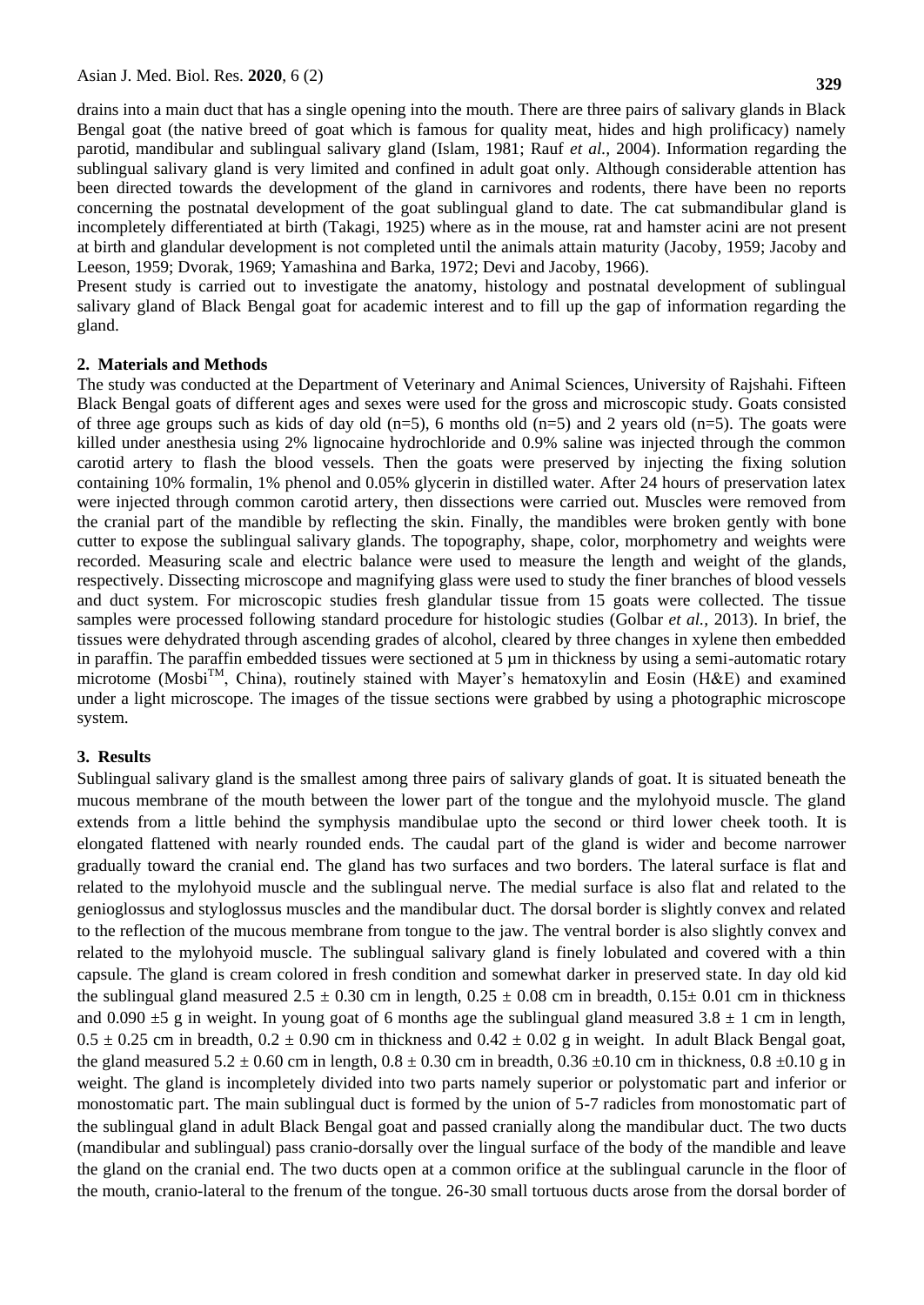drains into a main duct that has a single opening into the mouth. There are three pairs of salivary glands in Black Bengal goat (the native breed of goat which is famous for quality meat, hides and high prolificacy) namely parotid, mandibular and sublingual salivary gland (Islam, 1981; Rauf *et al.,* 2004). Information regarding the sublingual salivary gland is very limited and confined in adult goat only. Although considerable attention has been directed towards the development of the gland in carnivores and rodents, there have been no reports concerning the postnatal development of the goat sublingual gland to date. The cat submandibular gland is incompletely differentiated at birth (Takagi, 1925) where as in the mouse, rat and hamster acini are not present at birth and glandular development is not completed until the animals attain maturity (Jacoby, 1959; Jacoby and Leeson, 1959; Dvorak, 1969; Yamashina and Barka, 1972; Devi and Jacoby, 1966).

Present study is carried out to investigate the anatomy, histology and postnatal development of sublingual salivary gland of Black Bengal goat for academic interest and to fill up the gap of information regarding the gland.

## **2. Materials and Methods**

The study was conducted at the Department of Veterinary and Animal Sciences, University of Rajshahi. Fifteen Black Bengal goats of different ages and sexes were used for the gross and microscopic study. Goats consisted of three age groups such as kids of day old  $(n=5)$ , 6 months old  $(n=5)$  and 2 years old  $(n=5)$ . The goats were killed under anesthesia using 2% lignocaine hydrochloride and 0.9% saline was injected through the common carotid artery to flash the blood vessels. Then the goats were preserved by injecting the fixing solution containing 10% formalin, 1% phenol and 0.05% glycerin in distilled water. After 24 hours of preservation latex were injected through common carotid artery, then dissections were carried out. Muscles were removed from the cranial part of the mandible by reflecting the skin. Finally, the mandibles were broken gently with bone cutter to expose the sublingual salivary glands. The topography, shape, color, morphometry and weights were recorded. Measuring scale and electric balance were used to measure the length and weight of the glands, respectively. Dissecting microscope and magnifying glass were used to study the finer branches of blood vessels and duct system. For microscopic studies fresh glandular tissue from 15 goats were collected. The tissue samples were processed following standard procedure for histologic studies (Golbar *et al.,* 2013). In brief, the tissues were dehydrated through ascending grades of alcohol, cleared by three changes in xylene then embedded in paraffin. The paraffin embedded tissues were sectioned at 5 µm in thickness by using a semi-automatic rotary microtome (Mosbi<sup>TM</sup>, China), routinely stained with Mayer's hematoxylin and Eosin (H&E) and examined under a light microscope. The images of the tissue sections were grabbed by using a photographic microscope system.

## **3. Results**

Sublingual salivary gland is the smallest among three pairs of salivary glands of goat. It is situated beneath the mucous membrane of the mouth between the lower part of the tongue and the mylohyoid muscle. The gland extends from a little behind the symphysis mandibulae upto the second or third lower cheek tooth. It is elongated flattened with nearly rounded ends. The caudal part of the gland is wider and become narrower gradually toward the cranial end. The gland has two surfaces and two borders. The lateral surface is flat and related to the mylohyoid muscle and the sublingual nerve. The medial surface is also flat and related to the genioglossus and styloglossus muscles and the mandibular duct. The dorsal border is slightly convex and related to the reflection of the mucous membrane from tongue to the jaw. The ventral border is also slightly convex and related to the mylohyoid muscle. The sublingual salivary gland is finely lobulated and covered with a thin capsule. The gland is cream colored in fresh condition and somewhat darker in preserved state. In day old kid the sublingual gland measured  $2.5 \pm 0.30$  cm in length,  $0.25 \pm 0.08$  cm in breadth,  $0.15 \pm 0.01$  cm in thickness and 0.090  $\pm$ 5 g in weight. In young goat of 6 months age the sublingual gland measured 3.8  $\pm$  1 cm in length,  $0.5 \pm 0.25$  cm in breadth,  $0.2 \pm 0.90$  cm in thickness and  $0.42 \pm 0.02$  g in weight. In adult Black Bengal goat, the gland measured  $5.2 \pm 0.60$  cm in length,  $0.8 \pm 0.30$  cm in breadth,  $0.36 \pm 0.10$  cm in thickness,  $0.8 \pm 0.10$  g in weight. The gland is incompletely divided into two parts namely superior or polystomatic part and inferior or monostomatic part. The main sublingual duct is formed by the union of 5-7 radicles from monostomatic part of the sublingual gland in adult Black Bengal goat and passed cranially along the mandibular duct. The two ducts (mandibular and sublingual) pass cranio-dorsally over the lingual surface of the body of the mandible and leave the gland on the cranial end. The two ducts open at a common orifice at the sublingual caruncle in the floor of the mouth, cranio-lateral to the frenum of the tongue. 26-30 small tortuous ducts arose from the dorsal border of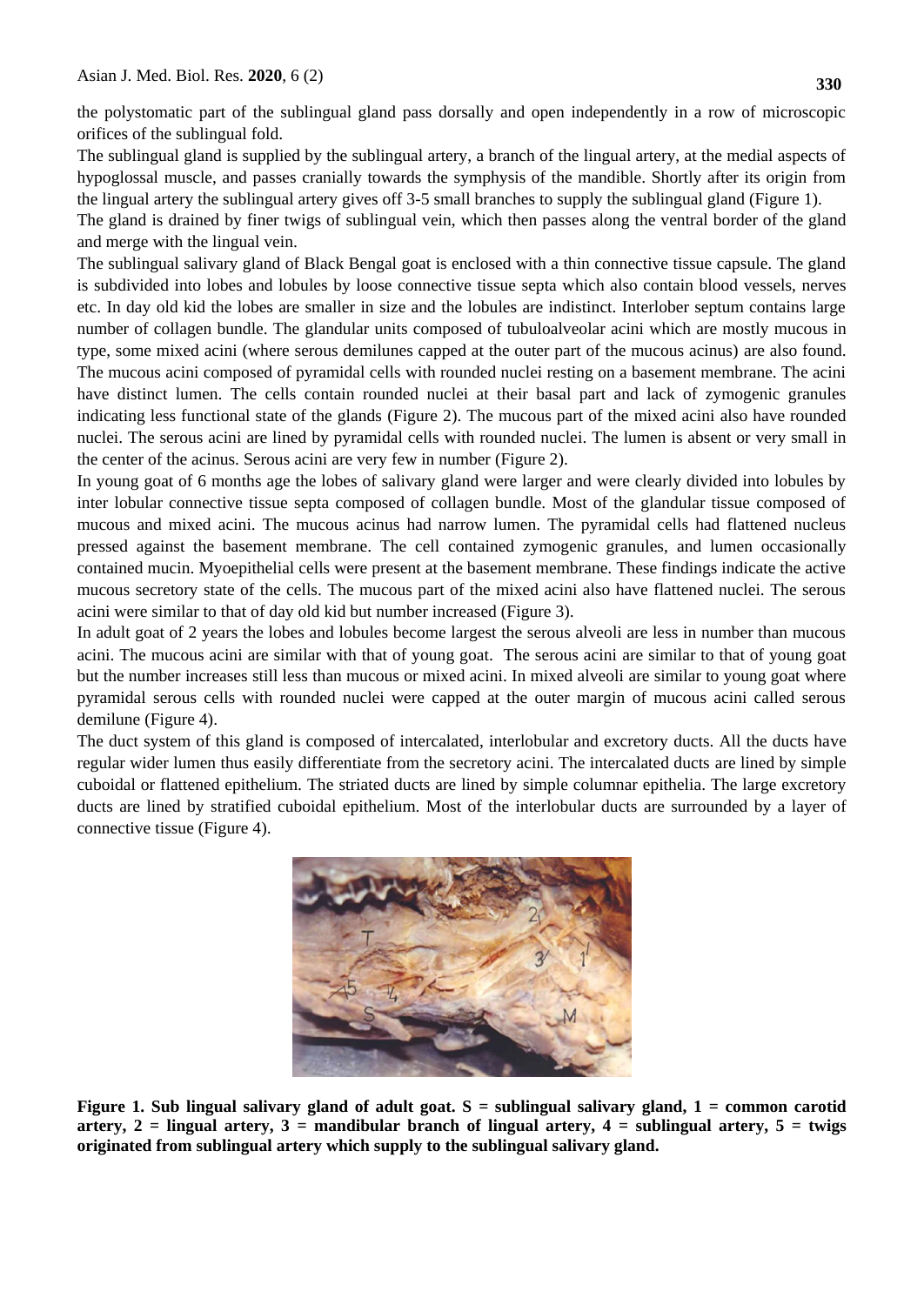the polystomatic part of the sublingual gland pass dorsally and open independently in a row of microscopic orifices of the sublingual fold.

The sublingual gland is supplied by the sublingual artery, a branch of the lingual artery, at the medial aspects of hypoglossal muscle, and passes cranially towards the symphysis of the mandible. Shortly after its origin from the lingual artery the sublingual artery gives off 3-5 small branches to supply the sublingual gland (Figure 1).

The gland is drained by finer twigs of sublingual vein, which then passes along the ventral border of the gland and merge with the lingual vein.

The sublingual salivary gland of Black Bengal goat is enclosed with a thin connective tissue capsule. The gland is subdivided into lobes and lobules by loose connective tissue septa which also contain blood vessels, nerves etc. In day old kid the lobes are smaller in size and the lobules are indistinct. Interlober septum contains large number of collagen bundle. The glandular units composed of tubuloalveolar acini which are mostly mucous in type, some mixed acini (where serous demilunes capped at the outer part of the mucous acinus) are also found. The mucous acini composed of pyramidal cells with rounded nuclei resting on a basement membrane. The acini have distinct lumen. The cells contain rounded nuclei at their basal part and lack of zymogenic granules indicating less functional state of the glands (Figure 2). The mucous part of the mixed acini also have rounded nuclei. The serous acini are lined by pyramidal cells with rounded nuclei. The lumen is absent or very small in the center of the acinus. Serous acini are very few in number (Figure 2).

In young goat of 6 months age the lobes of salivary gland were larger and were clearly divided into lobules by inter lobular connective tissue septa composed of collagen bundle. Most of the glandular tissue composed of mucous and mixed acini. The mucous acinus had narrow lumen. The pyramidal cells had flattened nucleus pressed against the basement membrane. The cell contained zymogenic granules, and lumen occasionally contained mucin. Myoepithelial cells were present at the basement membrane. These findings indicate the active mucous secretory state of the cells. The mucous part of the mixed acini also have flattened nuclei. The serous acini were similar to that of day old kid but number increased (Figure 3).

In adult goat of 2 years the lobes and lobules become largest the serous alveoli are less in number than mucous acini. The mucous acini are similar with that of young goat. The serous acini are similar to that of young goat but the number increases still less than mucous or mixed acini. In mixed alveoli are similar to young goat where pyramidal serous cells with rounded nuclei were capped at the outer margin of mucous acini called serous demilune (Figure 4).

The duct system of this gland is composed of intercalated, interlobular and excretory ducts. All the ducts have regular wider lumen thus easily differentiate from the secretory acini. The intercalated ducts are lined by simple cuboidal or flattened epithelium. The striated ducts are lined by simple columnar epithelia. The large excretory ducts are lined by stratified cuboidal epithelium. Most of the interlobular ducts are surrounded by a layer of connective tissue (Figure 4).



**Figure 1. Sub lingual salivary gland of adult goat. S = sublingual salivary gland, 1 = common carotid artery, 2 = lingual artery, 3 = mandibular branch of lingual artery, 4 = sublingual artery, 5 = twigs originated from sublingual artery which supply to the sublingual salivary gland.**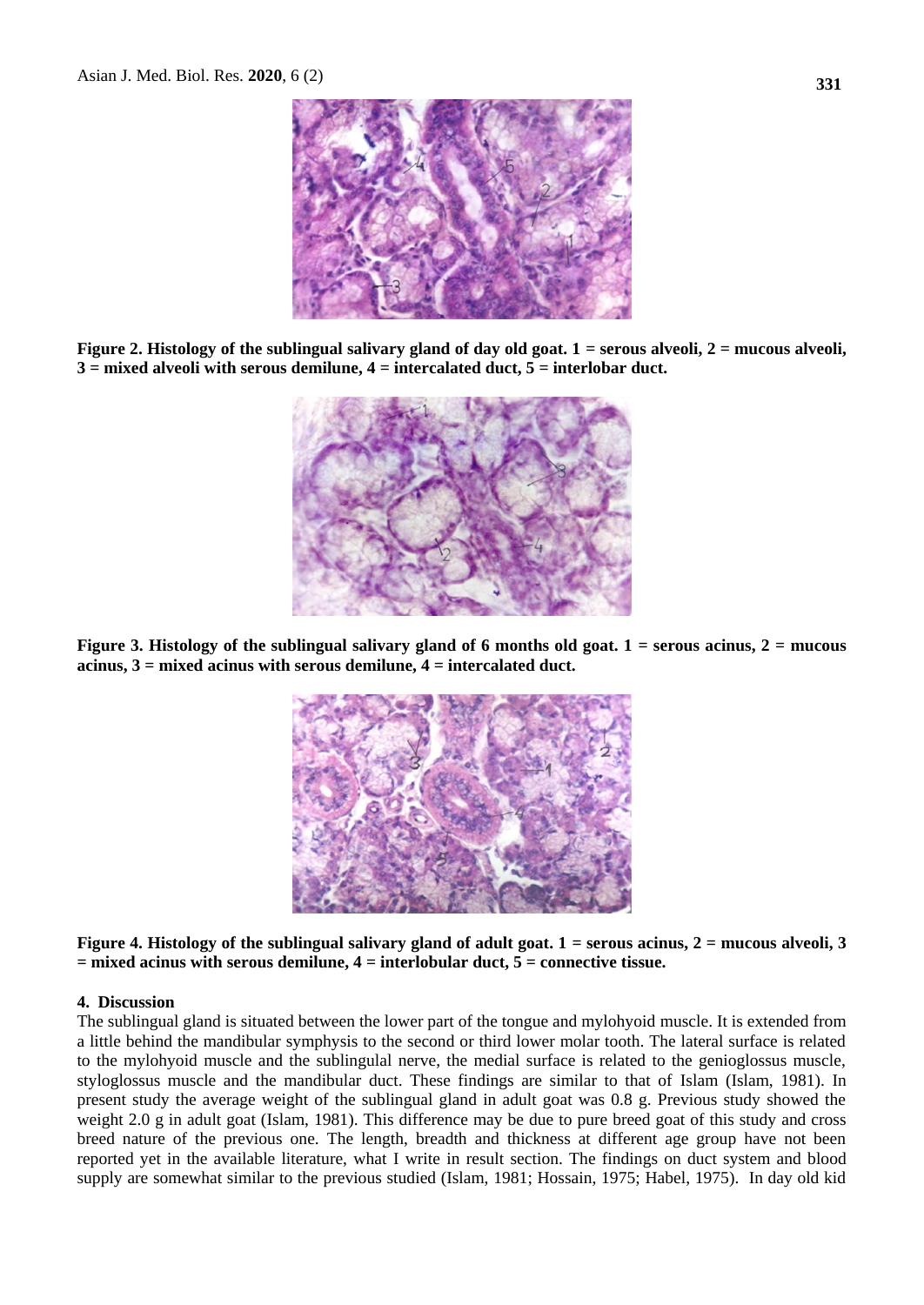

**Figure 2. Histology of the sublingual salivary gland of day old goat. 1 = serous alveoli, 2 = mucous alveoli, 3 = mixed alveoli with serous demilune, 4 = intercalated duct, 5 = interlobar duct.**



**Figure 3. Histology of the sublingual salivary gland of 6 months old goat. 1 = serous acinus, 2 = mucous acinus, 3 = mixed acinus with serous demilune, 4 = intercalated duct.** 



**Figure 4. Histology of the sublingual salivary gland of adult goat. 1 = serous acinus, 2 = mucous alveoli, 3 = mixed acinus with serous demilune, 4 = interlobular duct, 5 = connective tissue.**

## **4. Discussion**

The sublingual gland is situated between the lower part of the tongue and mylohyoid muscle. It is extended from a little behind the mandibular symphysis to the second or third lower molar tooth. The lateral surface is related to the mylohyoid muscle and the sublingulal nerve, the medial surface is related to the genioglossus muscle, styloglossus muscle and the mandibular duct. These findings are similar to that of Islam (Islam, 1981). In present study the average weight of the sublingual gland in adult goat was 0.8 g. Previous study showed the weight 2.0 g in adult goat (Islam, 1981). This difference may be due to pure breed goat of this study and cross breed nature of the previous one. The length, breadth and thickness at different age group have not been reported yet in the available literature, what I write in result section. The findings on duct system and blood supply are somewhat similar to the previous studied (Islam, 1981; Hossain, 1975; Habel, 1975). In day old kid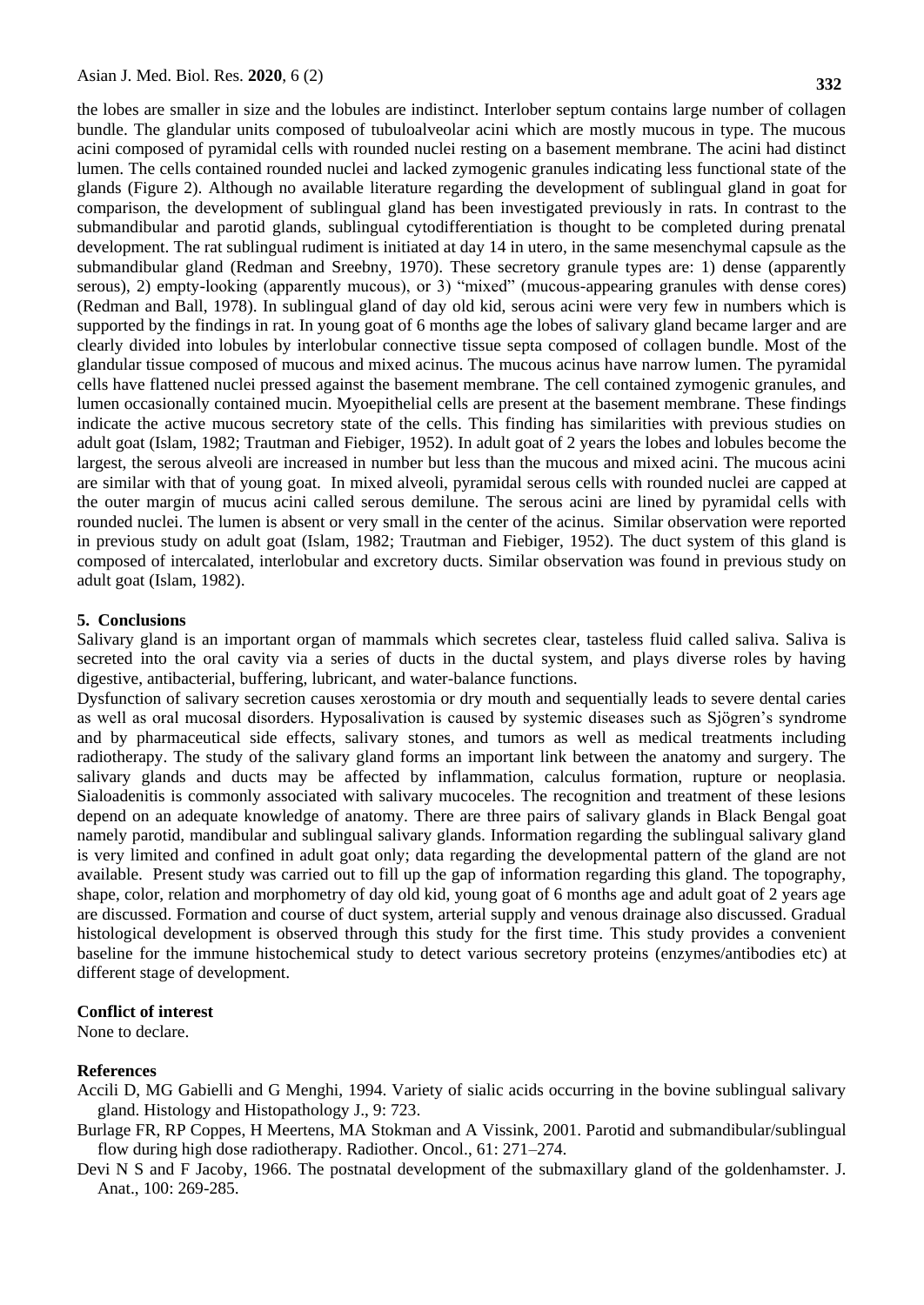the lobes are smaller in size and the lobules are indistinct. Interlober septum contains large number of collagen bundle. The glandular units composed of tubuloalveolar acini which are mostly mucous in type. The mucous acini composed of pyramidal cells with rounded nuclei resting on a basement membrane. The acini had distinct lumen. The cells contained rounded nuclei and lacked zymogenic granules indicating less functional state of the glands (Figure 2). Although no available literature regarding the development of sublingual gland in goat for comparison, the development of sublingual gland has been investigated previously in rats. In contrast to the submandibular and parotid glands, sublingual cytodifferentiation is thought to be completed during prenatal development. The rat sublingual rudiment is initiated at day 14 in utero, in the same mesenchymal capsule as the submandibular gland (Redman and Sreebny, 1970). These secretory granule types are: 1) dense (apparently serous), 2) empty-looking (apparently mucous), or 3) "mixed" (mucous-appearing granules with dense cores) (Redman and Ball, 1978). In sublingual gland of day old kid, serous acini were very few in numbers which is supported by the findings in rat. In young goat of 6 months age the lobes of salivary gland became larger and are clearly divided into lobules by interlobular connective tissue septa composed of collagen bundle. Most of the glandular tissue composed of mucous and mixed acinus. The mucous acinus have narrow lumen. The pyramidal cells have flattened nuclei pressed against the basement membrane. The cell contained zymogenic granules, and lumen occasionally contained mucin. Myoepithelial cells are present at the basement membrane. These findings indicate the active mucous secretory state of the cells. This finding has similarities with previous studies on adult goat (Islam, 1982; Trautman and Fiebiger, 1952). In adult goat of 2 years the lobes and lobules become the largest, the serous alveoli are increased in number but less than the mucous and mixed acini. The mucous acini are similar with that of young goat. In mixed alveoli, pyramidal serous cells with rounded nuclei are capped at the outer margin of mucus acini called serous demilune. The serous acini are lined by pyramidal cells with rounded nuclei. The lumen is absent or very small in the center of the acinus. Similar observation were reported in previous study on adult goat (Islam, 1982; Trautman and Fiebiger, 1952). The duct system of this gland is composed of intercalated, interlobular and excretory ducts. Similar observation was found in previous study on adult goat (Islam, 1982).

## **5. Conclusions**

Salivary gland is an important organ of mammals which secretes clear, tasteless fluid called saliva. Saliva is secreted into the oral cavity via a series of ducts in the ductal system, and plays diverse roles by having digestive, antibacterial, buffering, lubricant, and water-balance functions.

Dysfunction of salivary secretion causes xerostomia or dry mouth and sequentially leads to severe dental caries as well as oral mucosal disorders. Hyposalivation is caused by systemic diseases such as Sjögren's syndrome and by pharmaceutical side effects, salivary stones, and tumors as well as medical treatments including radiotherapy. The study of the salivary gland forms an important link between the anatomy and surgery. The salivary glands and ducts may be affected by inflammation, calculus formation, rupture or neoplasia. Sialoadenitis is commonly associated with salivary mucoceles. The recognition and treatment of these lesions depend on an adequate knowledge of anatomy. There are three pairs of salivary glands in Black Bengal goat namely parotid, mandibular and sublingual salivary glands. Information regarding the sublingual salivary gland is very limited and confined in adult goat only; data regarding the developmental pattern of the gland are not available. Present study was carried out to fill up the gap of information regarding this gland. The topography, shape, color, relation and morphometry of day old kid, young goat of 6 months age and adult goat of 2 years age are discussed. Formation and course of duct system, arterial supply and venous drainage also discussed. Gradual histological development is observed through this study for the first time. This study provides a convenient baseline for the immune histochemical study to detect various secretory proteins (enzymes/antibodies etc) at different stage of development.

## **Conflict of interest**

None to declare.

#### **References**

- Accili D, MG Gabielli and G Menghi, 1994. Variety of sialic acids occurring in the bovine sublingual salivary gland. Histology and Histopathology J., 9: 723.
- Burlage FR, RP Coppes, H Meertens, MA Stokman and A Vissink, 2001. Parotid and submandibular/sublingual flow during high dose radiotherapy. Radiother. Oncol., 61: 271–274.
- Devi N S and F Jacoby, 1966. The postnatal development of the submaxillary gland of the goldenhamster. J. Anat., 100: 269-285.